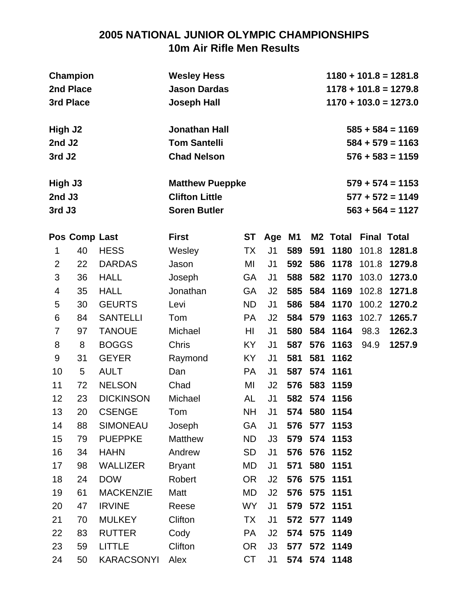# **2005 NATIONAL JUNIOR OLYMPIC CHAMPIONSHIPS 10m Air Rifle Men Results**

|                                         | Champion<br>2nd Place<br>3rd Place |                  | <b>Wesley Hess</b><br><b>Jason Dardas</b><br><b>Joseph Hall</b>        | $1180 + 101.8 = 1281.8$<br>$1178 + 101.8 = 1279.8$<br>$1170 + 103.0 = 1273.0$ |                |     |         |                      |                    |                                                                |
|-----------------------------------------|------------------------------------|------------------|------------------------------------------------------------------------|-------------------------------------------------------------------------------|----------------|-----|---------|----------------------|--------------------|----------------------------------------------------------------|
| High J2<br>2nd J2<br>3rd J <sub>2</sub> |                                    |                  | <b>Jonathan Hall</b><br><b>Tom Santelli</b><br><b>Chad Nelson</b>      |                                                                               |                |     |         |                      |                    | $585 + 584 = 1169$<br>$584 + 579 = 1163$<br>$576 + 583 = 1159$ |
| High J3<br>2nd J3<br>3rd J3             |                                    |                  | <b>Matthew Pueppke</b><br><b>Clifton Little</b><br><b>Soren Butler</b> |                                                                               |                |     |         |                      |                    | $579 + 574 = 1153$<br>$577 + 572 = 1149$<br>$563 + 564 = 1127$ |
|                                         | Pos Comp Last                      |                  | <b>First</b>                                                           | <b>ST</b>                                                                     | Age            | M1  |         | M <sub>2</sub> Total | <b>Final Total</b> |                                                                |
| 1                                       | 40                                 | <b>HESS</b>      | Wesley                                                                 | TX                                                                            | J <sub>1</sub> | 589 | 591     | 1180                 | 101.8              | 1281.8                                                         |
| $\overline{2}$                          | 22                                 | <b>DARDAS</b>    | Jason                                                                  | ΜI                                                                            | J <sub>1</sub> | 592 | 586     | 1178                 | 101.8              | 1279.8                                                         |
| 3                                       | 36                                 | <b>HALL</b>      | Joseph                                                                 | <b>GA</b>                                                                     | J <sub>1</sub> | 588 | 582     | 1170                 | 103.0              | 1273.0                                                         |
| 4                                       | 35                                 | <b>HALL</b>      | Jonathan                                                               | <b>GA</b>                                                                     | J2             | 585 | 584     | 1169                 | 102.8              | 1271.8                                                         |
| 5                                       | 30                                 | <b>GEURTS</b>    | Levi                                                                   | <b>ND</b>                                                                     | J <sub>1</sub> | 586 | 584     | 1170                 | 100.2              | 1270.2                                                         |
| 6                                       | 84                                 | <b>SANTELLI</b>  | Tom                                                                    | <b>PA</b>                                                                     | J <sub>2</sub> | 584 | 579     | 1163                 | 102.7              | 1265.7                                                         |
| 7                                       | 97                                 | <b>TANOUE</b>    | Michael                                                                | HI                                                                            | J <sub>1</sub> | 580 | 584     | 1164                 | 98.3               | 1262.3                                                         |
| 8                                       | 8                                  | <b>BOGGS</b>     | <b>Chris</b>                                                           | KY.                                                                           | J <sub>1</sub> | 587 | 576     | 1163                 | 94.9               | 1257.9                                                         |
| 9                                       | 31                                 | <b>GEYER</b>     | Raymond                                                                | KY                                                                            | J <sub>1</sub> | 581 | 581     | 1162                 |                    |                                                                |
| 10                                      | 5                                  | <b>AULT</b>      | Dan                                                                    | <b>PA</b>                                                                     | J <sub>1</sub> | 587 | 574     | 1161                 |                    |                                                                |
| 11                                      | 72                                 | <b>NELSON</b>    | Chad                                                                   | ΜI                                                                            | J <sub>2</sub> | 576 | 583     | 1159                 |                    |                                                                |
| 12                                      | 23                                 | <b>DICKINSON</b> | Michael                                                                | AL                                                                            | J <sub>1</sub> | 582 |         | 574 1156             |                    |                                                                |
| 13                                      | 20                                 | <b>CSENGE</b>    | Tom                                                                    | <b>NH</b>                                                                     | J <sub>1</sub> |     |         | 574 580 1154         |                    |                                                                |
| 14                                      | 88                                 | <b>SIMONEAU</b>  | Joseph                                                                 | GA                                                                            | J <sub>1</sub> | 576 | 577     | 1153                 |                    |                                                                |
| 15                                      | 79                                 | <b>PUEPPKE</b>   | <b>Matthew</b>                                                         | <b>ND</b>                                                                     | J3             | 579 | 574     | 1153                 |                    |                                                                |
| 16                                      | 34                                 | <b>HAHN</b>      | Andrew                                                                 | SD                                                                            | J <sub>1</sub> | 576 | 576     | 1152                 |                    |                                                                |
| 17                                      | 98                                 | <b>WALLIZER</b>  | <b>Bryant</b>                                                          | MD                                                                            | J <sub>1</sub> | 571 | 580     | 1151                 |                    |                                                                |
| 18                                      | 24                                 | <b>DOW</b>       | Robert                                                                 | <b>OR</b>                                                                     | J2             | 576 | 575     | 1151                 |                    |                                                                |
| 19                                      | 61                                 | <b>MACKENZIE</b> | Matt                                                                   | MD                                                                            | J2             | 576 | 575     | 1151                 |                    |                                                                |
| 20                                      | 47                                 | <b>IRVINE</b>    | Reese                                                                  | <b>WY</b>                                                                     | J <sub>1</sub> | 579 | 572     | 1151                 |                    |                                                                |
| 21                                      | 70                                 | <b>MULKEY</b>    | Clifton                                                                | TX                                                                            | J <sub>1</sub> |     | 572 577 | 1149                 |                    |                                                                |
| 22                                      | 83                                 | <b>RUTTER</b>    | Cody                                                                   | <b>PA</b>                                                                     | J2             | 574 | 575     | 1149                 |                    |                                                                |
| 23                                      | 59                                 | <b>LITTLE</b>    | Clifton                                                                | <b>OR</b>                                                                     | J3             |     |         | 577 572 1149         |                    |                                                                |
| 24                                      | 50                                 | KARACSONYI       | Alex                                                                   | CT                                                                            | J <sub>1</sub> |     |         | 574 574 1148         |                    |                                                                |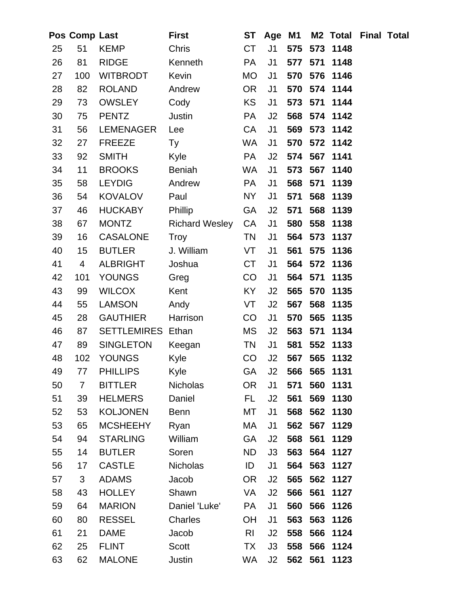|    | Pos Comp Last  |                          | <b>First</b>          | <b>ST</b>       | Age            | <b>M1</b> |         | M <sub>2</sub> Total | <b>Final Total</b> |  |
|----|----------------|--------------------------|-----------------------|-----------------|----------------|-----------|---------|----------------------|--------------------|--|
| 25 | 51             | <b>KEMP</b>              | Chris                 | <b>CT</b>       | J <sub>1</sub> | 575       | 573     | 1148                 |                    |  |
| 26 | 81             | <b>RIDGE</b>             | Kenneth               | <b>PA</b>       | J <sub>1</sub> | 577       | 571     | 1148                 |                    |  |
| 27 | 100            | <b>WITBRODT</b>          | Kevin                 | <b>MO</b>       | J <sub>1</sub> | 570 576   |         | 1146                 |                    |  |
| 28 | 82             | <b>ROLAND</b>            | Andrew                | <b>OR</b>       | J <sub>1</sub> | 570       | 574     | 1144                 |                    |  |
| 29 | 73             | <b>OWSLEY</b>            | Cody                  | <b>KS</b>       | J <sub>1</sub> | 573       | 571     | 1144                 |                    |  |
| 30 | 75             | <b>PENTZ</b>             | Justin                | <b>PA</b>       | J2             |           |         | 568 574 1142         |                    |  |
| 31 | 56             | <b>LEMENAGER</b>         | Lee                   | CA              | J <sub>1</sub> | 569       |         | 573 1142             |                    |  |
| 32 | 27             | <b>FREEZE</b>            | Ty                    | WA              | J <sub>1</sub> | 570       |         | 572 1142             |                    |  |
| 33 | 92             | <b>SMITH</b>             | Kyle                  | PA              | J2             |           |         | 574 567 1141         |                    |  |
| 34 | 11             | <b>BROOKS</b>            | <b>Beniah</b>         | WA              | J <sub>1</sub> |           | 573 567 | 1140                 |                    |  |
| 35 | 58             | <b>LEYDIG</b>            | Andrew                | <b>PA</b>       | J <sub>1</sub> | 568       | 571     | 1139                 |                    |  |
| 36 | 54             | <b>KOVALOV</b>           | Paul                  | NY              | J1             | 571       | 568     | 1139                 |                    |  |
| 37 | 46             | <b>HUCKABY</b>           | Phillip               | <b>GA</b>       | J2             | 571       | 568     | 1139                 |                    |  |
| 38 | 67             | <b>MONTZ</b>             | <b>Richard Wesley</b> | CA              | J <sub>1</sub> | 580       | 558     | 1138                 |                    |  |
| 39 | 16             | <b>CASALONE</b>          | <b>Troy</b>           | <b>TN</b>       | J <sub>1</sub> | 564       | 573     | 1137                 |                    |  |
| 40 | 15             | <b>BUTLER</b>            | J. William            | VT              | J <sub>1</sub> | 561       | 575     | 1136                 |                    |  |
| 41 | 4              | <b>ALBRIGHT</b>          | Joshua                | <b>CT</b>       | J <sub>1</sub> |           |         | 564 572 1136         |                    |  |
| 42 | 101            | <b>YOUNGS</b>            | Greg                  | CO              | J <sub>1</sub> | 564       | 571     | 1135                 |                    |  |
| 43 | 99             | <b>WILCOX</b>            | Kent                  | <b>KY</b>       | J2             | 565       | 570     | 1135                 |                    |  |
| 44 | 55             | <b>LAMSON</b>            | Andy                  | VT              | J2             | 567       | 568     | 1135                 |                    |  |
| 45 | 28             | <b>GAUTHIER</b>          | Harrison              | CO              | J <sub>1</sub> | 570       | 565     | 1135                 |                    |  |
| 46 | 87             | <b>SETTLEMIRES Ethan</b> |                       | <b>MS</b>       | J2             | 563       | 571     | 1134                 |                    |  |
| 47 | 89             | <b>SINGLETON</b>         | Keegan                | <b>TN</b>       | J <sub>1</sub> | 581       | 552     | 1133                 |                    |  |
| 48 | 102            | <b>YOUNGS</b>            | Kyle                  | CO              | J2             | 567 565   |         | 1132                 |                    |  |
| 49 | 77             | <b>PHILLIPS</b>          | Kyle                  | GA              | J2             |           | 566 565 | 1131                 |                    |  |
| 50 | $\overline{7}$ | <b>BITTLER</b>           | Nicholas              | <b>OR</b>       | J1             | 571       | 560     | 1131                 |                    |  |
| 51 | 39             | <b>HELMERS</b>           | Daniel                | FL.             | J2             | 561       | 569     | 1130                 |                    |  |
| 52 | 53             | <b>KOLJONEN</b>          | <b>Benn</b>           | МT              | J <sub>1</sub> | 568       | 562     | 1130                 |                    |  |
| 53 | 65             | <b>MCSHEEHY</b>          | Ryan                  | МA              | J <sub>1</sub> | 562       | 567     | 1129                 |                    |  |
| 54 | 94             | <b>STARLING</b>          | William               | <b>GA</b>       | J2             | 568       | 561     | 1129                 |                    |  |
| 55 | 14             | <b>BUTLER</b>            | Soren                 | <b>ND</b>       | J3             | 563       |         | 564 1127             |                    |  |
| 56 | 17             | <b>CASTLE</b>            | <b>Nicholas</b>       | ID              | J <sub>1</sub> | 564       | 563     | 1127                 |                    |  |
| 57 | 3              | <b>ADAMS</b>             | Jacob                 | OR <sub>.</sub> | J2             | 565       | 562     | 1127                 |                    |  |
| 58 | 43             | <b>HOLLEY</b>            | Shawn                 | VA              | J2             | 566       | 561     | 1127                 |                    |  |
| 59 | 64             | <b>MARION</b>            | Daniel 'Luke'         | <b>PA</b>       | J <sub>1</sub> | 560       | 566     | 1126                 |                    |  |
| 60 | 80             | <b>RESSEL</b>            | Charles               | <b>OH</b>       | J <sub>1</sub> | 563       | 563     | 1126                 |                    |  |
| 61 | 21             | <b>DAME</b>              | Jacob                 | R <sub>l</sub>  | J2             | 558       | 566     | 1124                 |                    |  |
| 62 | 25             | <b>FLINT</b>             | Scott                 | <b>TX</b>       | J3             | 558       | 566     | 1124                 |                    |  |
| 63 | 62             | <b>MALONE</b>            | Justin                | WA              | J2             | 562 561   |         | 1123                 |                    |  |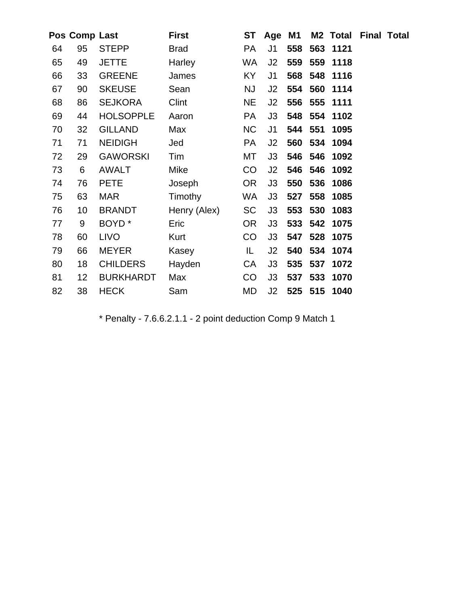|    | Pos Comp Last   |                   | <b>First</b>   | <b>ST</b> | Age M1         |         |         | <b>M2 Total Final Total</b> |  |
|----|-----------------|-------------------|----------------|-----------|----------------|---------|---------|-----------------------------|--|
| 64 | 95              | <b>STEPP</b>      | <b>Brad</b>    | <b>PA</b> | J <sub>1</sub> | 558     |         | 563 1121                    |  |
| 65 | 49              | <b>JETTE</b>      | Harley         | WA        | J2             | 559     | 559     | 1118                        |  |
| 66 | 33              | <b>GREENE</b>     | James          | KY        | J1             | 568     | 548     | 1116                        |  |
| 67 | 90              | <b>SKEUSE</b>     | Sean           | <b>NJ</b> | J2             | 554     | 560     | 1114                        |  |
| 68 | 86              | <b>SEJKORA</b>    | Clint          | <b>NE</b> | J2             | 556     | 555     | 1111                        |  |
| 69 | 44              | <b>HOLSOPPLE</b>  | Aaron          | <b>PA</b> | J3             | 548     | 554     | 1102                        |  |
| 70 | 32              | <b>GILLAND</b>    | Max            | <b>NC</b> | J <sub>1</sub> | 544 551 |         | 1095                        |  |
| 71 | 71              | <b>NEIDIGH</b>    | Jed            | <b>PA</b> | J2             | 560     | 534     | 1094                        |  |
| 72 | 29              | <b>GAWORSKI</b>   | Tim            | МT        | J3             | 546     | 546     | 1092                        |  |
| 73 | 6               | <b>AWALT</b>      | Mike           | CO        | J2             | 546     | 546     | 1092                        |  |
| 74 | 76              | <b>PETE</b>       | Joseph         | <b>OR</b> | J3             | 550     | 536     | 1086                        |  |
| 75 | 63              | <b>MAR</b>        | <b>Timothy</b> | WA        | J3             | 527     | 558     | 1085                        |  |
| 76 | 10              | <b>BRANDT</b>     | Henry (Alex)   | <b>SC</b> | J3             | 553     | 530     | 1083                        |  |
| 77 | 9               | BOYD <sup>*</sup> | Eric           | <b>OR</b> | J3             |         |         | 533 542 1075                |  |
| 78 | 60              | <b>LIVO</b>       | Kurt           | CO        | J3             | 547     | 528     | 1075                        |  |
| 79 | 66              | <b>MEYER</b>      | Kasey          | IL.       | J2             | 540     | 534     | 1074                        |  |
| 80 | 18              | <b>CHILDERS</b>   | Hayden         | CA        | J3             | 535     | 537     | 1072                        |  |
| 81 | 12 <sub>2</sub> | <b>BURKHARDT</b>  | Max            | CO        | J3             | 537     | 533     | 1070                        |  |
| 82 | 38              | <b>HECK</b>       | Sam            | MD        | J2             |         | 525 515 | 1040                        |  |
|    |                 |                   |                |           |                |         |         |                             |  |

\* Penalty - 7.6.6.2.1.1 - 2 point deduction Comp 9 Match 1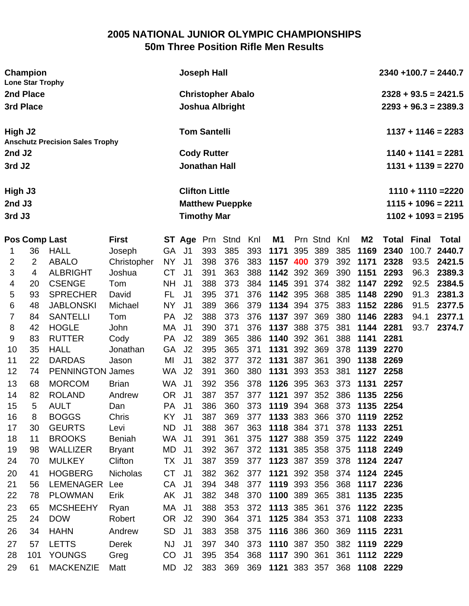#### **2005 NATIONAL JUNIOR OLYMPIC CHAMPIONSHIPS 50m Three Position Rifle Men Results**

| Champion<br><b>Lone Star Trophy</b>    |              |                            | <b>Joseph Hall</b> |     |           |  |              |     |                |       | $2340 + 100.7 = 2440.7$ |                        |  |  |
|----------------------------------------|--------------|----------------------------|--------------------|-----|-----------|--|--------------|-----|----------------|-------|-------------------------|------------------------|--|--|
| 2nd Place                              |              | <b>Christopher Abalo</b>   |                    |     |           |  |              |     |                |       |                         | $2328 + 93.5 = 2421.5$ |  |  |
| 3rd Place                              |              | <b>Joshua Albright</b>     |                    |     |           |  |              |     |                |       |                         | $2293 + 96.3 = 2389.3$ |  |  |
| High J2                                |              | <b>Tom Santelli</b>        |                    |     |           |  |              |     |                |       |                         | $1137 + 1146 = 2283$   |  |  |
| <b>Anschutz Precision Sales Trophy</b> |              |                            |                    |     |           |  |              |     |                |       |                         |                        |  |  |
| 2nd J2                                 |              | <b>Cody Rutter</b>         |                    |     |           |  |              |     |                |       |                         | $1140 + 1141 = 2281$   |  |  |
| 3rd J <sub>2</sub>                     |              | <b>Jonathan Hall</b>       |                    |     |           |  |              |     |                |       |                         | $1131 + 1139 = 2270$   |  |  |
| High J3                                |              | <b>Clifton Little</b>      |                    |     |           |  |              |     |                |       |                         | $1110 + 1110 = 2220$   |  |  |
| $2nd$ J3                               |              | <b>Matthew Pueppke</b>     |                    |     |           |  |              |     |                |       |                         | $1115 + 1096 = 2211$   |  |  |
| 3rd J3                                 |              | <b>Timothy Mar</b>         |                    |     |           |  |              |     |                |       |                         | $1102 + 1093 = 2195$   |  |  |
| <b>Pos Comp Last</b>                   | <b>First</b> | <b>ST Age Prn Stnd Knl</b> |                    |     | <b>M1</b> |  | Prn Stnd Knl |     | M <sub>2</sub> | Total | Final                   | Total                  |  |  |
| HALL<br>36                             | Joseph       | 393<br>GA<br>J1            | 385                | 393 | 1171      |  | 395 389      | 385 | 1169           | 2340  |                         | 100.7 2440.7           |  |  |

| 1  | 36  | <b>HALL</b>             | Joseph          | GA        | J <sub>1</sub> | 393 | 385 | 393 | 1171             | 395 | 389 | 385 | 1169          | 2340      | 100.7 | 2440.7 |
|----|-----|-------------------------|-----------------|-----------|----------------|-----|-----|-----|------------------|-----|-----|-----|---------------|-----------|-------|--------|
| 2  | 2   | <b>ABALO</b>            | Christopher     | <b>NY</b> | J <sub>1</sub> | 398 | 376 | 383 | 1157 400 379     |     |     |     | 392 1171      | 2328      | 93.5  | 2421.5 |
| 3  | 4   | <b>ALBRIGHT</b>         | Joshua          | <b>CT</b> | J <sub>1</sub> | 391 | 363 | 388 | 1142 392         |     | 369 |     | 390 1151      | 2293      | 96.3  | 2389.3 |
| 4  | 20  | <b>CSENGE</b>           | Tom             | <b>NH</b> | J <sub>1</sub> | 388 | 373 | 384 | 1145 391         |     | 374 |     | 382 1147      | 2292      | 92.5  | 2384.5 |
| 5  | 93  | <b>SPRECHER</b>         | David           | FL.       | J <sub>1</sub> | 395 | 371 | 376 | 1142             | 395 | 368 |     | 385 1148      | 2290      | 91.3  | 2381.3 |
| 6  | 48  | <b>JABLONSKI</b>        | Michael         | <b>NY</b> | J <sub>1</sub> | 389 | 366 | 379 | 1134 394         |     | 375 | 383 | 1152 2286     |           | 91.5  | 2377.5 |
| 7  | 84  | <b>SANTELLI</b>         | Tom             | PA        | J <sub>2</sub> | 388 | 373 | 376 | 1137 397         |     | 369 | 380 | 1146          | 2283      | 94.1  | 2377.1 |
| 8  | 42  | <b>HOGLE</b>            | John            | МA        | J <sub>1</sub> | 390 | 371 | 376 | 1137             | 388 | 375 | 381 | 1144          | 2281      | 93.7  | 2374.7 |
| 9  | 83  | <b>RUTTER</b>           | Cody            | PA        | J <sub>2</sub> | 389 | 365 | 386 | 1140             | 392 | 361 | 388 | 1141          | 2281      |       |        |
| 10 | 35  | <b>HALL</b>             | Jonathan        | GA        | J <sub>2</sub> | 395 | 365 | 371 | 1131             | 392 | 369 | 378 | 1139          | 2270      |       |        |
| 11 | 22  | <b>DARDAS</b>           | Jason           | MI        | J <sub>1</sub> | 382 | 377 | 372 | 1131             | 387 | 361 | 390 | 1138          | 2269      |       |        |
| 12 | 74  | <b>PENNINGTON James</b> |                 | WA.       | J <sub>2</sub> | 391 | 360 | 380 | 1131             | 393 | 353 | 381 | 1127          | 2258      |       |        |
| 13 | 68  | <b>MORCOM</b>           | <b>Brian</b>    | <b>WA</b> | J <sub>1</sub> | 392 | 356 | 378 | 1126             | 395 | 363 | 373 | 1131          | 2257      |       |        |
| 14 | 82  | <b>ROLAND</b>           | Andrew          | <b>OR</b> | J <sub>1</sub> | 387 | 357 | 377 | 1121             | 397 | 352 | 386 | 1135          | 2256      |       |        |
| 15 | 5   | <b>AULT</b>             | Dan             | PA        | J <sub>1</sub> | 386 | 360 | 373 | 1119             | 394 | 368 | 373 | 1135          | 2254      |       |        |
| 16 | 8   | <b>BOGGS</b>            | Chris           | KY        | J <sub>1</sub> | 387 | 369 | 377 | 1133 383         |     | 366 | 370 | 1119          | 2252      |       |        |
| 17 | 30  | <b>GEURTS</b>           | Levi            | <b>ND</b> | J <sub>1</sub> | 388 | 367 | 363 | 1118             | 384 | 371 | 378 | 1133          | 2251      |       |        |
| 18 | 11  | <b>BROOKS</b>           | <b>Beniah</b>   | <b>WA</b> | J <sub>1</sub> | 391 | 361 | 375 | 1127             | 388 | 359 | 375 | 1122 2249     |           |       |        |
| 19 | 98  | <b>WALLIZER</b>         | <b>Bryant</b>   | <b>MD</b> | J <sub>1</sub> | 392 | 367 | 372 | 1131             | 385 | 358 | 375 | 1118          | 2249      |       |        |
| 24 | 70  | <b>MULKEY</b>           | Clifton         | ТX        | J <sub>1</sub> | 387 | 359 | 377 | 1123 387         |     | 359 | 378 | 1124 2247     |           |       |        |
| 20 | 41  | <b>HOGBERG</b>          | <b>Nicholas</b> | <b>CT</b> | J <sub>1</sub> | 382 | 362 | 377 | 1121             | 392 | 358 | 374 | 1124 2245     |           |       |        |
| 21 | 56  | <b>LEMENAGER</b>        | Lee             | CA        | J <sub>1</sub> | 394 | 348 | 377 | 1119 393         |     | 356 | 368 | 1117          | 2236      |       |        |
| 22 | 78  | <b>PLOWMAN</b>          | Erik            | AK        | J <sub>1</sub> | 382 | 348 | 370 | 1100 389         |     | 365 | 381 | 1135          | 2235      |       |        |
| 23 | 65  | <b>MCSHEEHY</b>         | Ryan            | МA        | J <sub>1</sub> | 388 | 353 | 372 | 1113 385         |     | 361 | 376 | 1122 2235     |           |       |        |
| 25 | 24  | <b>DOW</b>              | Robert          | <b>OR</b> | J <sub>2</sub> | 390 | 364 | 371 | 1125 384         |     | 353 | 371 |               | 1108 2233 |       |        |
| 26 | 34  | <b>HAHN</b>             | Andrew          | <b>SD</b> | J <sub>1</sub> | 383 | 358 | 375 | 1116 386 360     |     |     | 369 | 1115          | 2231      |       |        |
| 27 | 57  | <b>LETTS</b>            | <b>Derek</b>    | <b>NJ</b> | J <sub>1</sub> | 397 | 340 | 373 | 1110 387         |     | 350 | 382 | 1119          | 2229      |       |        |
| 28 | 101 | <b>YOUNGS</b>           | Greg            | CO        | J <sub>1</sub> | 395 | 354 | 368 | 1117 390         |     | 361 | 361 | 1112 2229     |           |       |        |
| 29 | 61  | <b>MACKENZIE</b>        | Matt            | <b>MD</b> | J <sub>2</sub> | 383 | 369 |     | 369 1121 383 357 |     |     |     | 368 1108 2229 |           |       |        |
|    |     |                         |                 |           |                |     |     |     |                  |     |     |     |               |           |       |        |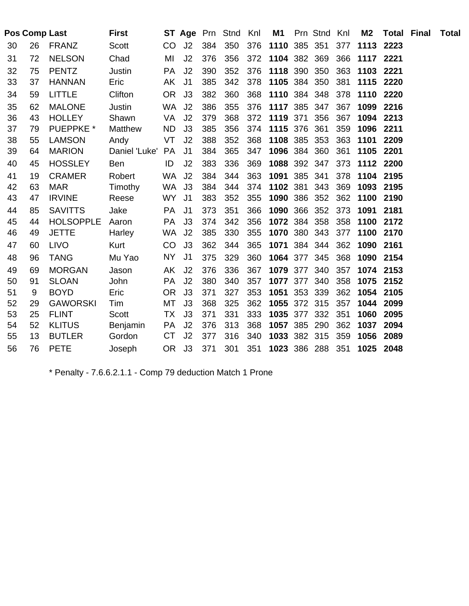|    |    | Pos Comp Last    | <b>First</b>  |           |                |     | <b>ST Age Prn Stnd Knl</b> |     | M1           | Prn Stnd Knl |     | M <sub>2</sub> |           | <b>Total Final</b> | <b>Total</b> |
|----|----|------------------|---------------|-----------|----------------|-----|----------------------------|-----|--------------|--------------|-----|----------------|-----------|--------------------|--------------|
| 30 | 26 | <b>FRANZ</b>     | Scott         | CO.       | J <sub>2</sub> | 384 | 350                        | 376 | 1110 385 351 |              | 377 |                | 1113 2223 |                    |              |
| 31 | 72 | <b>NELSON</b>    | Chad          | MI        | J2             | 376 | 356                        | 372 | 1104 382 369 |              | 366 | 1117 2221      |           |                    |              |
| 32 | 75 | <b>PENTZ</b>     | Justin        | <b>PA</b> | J <sub>2</sub> | 390 | 352                        | 376 | 1118 390 350 |              | 363 | 1103           | 2221      |                    |              |
| 33 | 37 | <b>HANNAN</b>    | Eric          | AK        | J <sub>1</sub> | 385 | 342                        | 378 | 1105 384 350 |              | 381 |                | 1115 2220 |                    |              |
| 34 | 59 | <b>LITTLE</b>    | Clifton       | OR.       | J3             | 382 | 360                        | 368 | 1110 384 348 |              | 378 |                | 1110 2220 |                    |              |
| 35 | 62 | <b>MALONE</b>    | Justin        | <b>WA</b> | J <sub>2</sub> | 386 | 355                        | 376 | 1117 385     | 347          | 367 | 1099           | 2216      |                    |              |
| 36 | 43 | <b>HOLLEY</b>    | Shawn         | VA        | J <sub>2</sub> | 379 | 368                        | 372 | 1119 371     | 356          | 367 | 1094           | 2213      |                    |              |
| 37 | 79 | <b>PUEPPKE</b> * | Matthew       | <b>ND</b> | J3             | 385 | 356                        |     | 374 1115 376 | 361          | 359 | 1096           | 2211      |                    |              |
| 38 | 55 | <b>LAMSON</b>    | Andy          | VT        | J <sub>2</sub> | 388 | 352                        | 368 | 1108 385     | 353          | 363 | 1101           | 2209      |                    |              |
| 39 | 64 | <b>MARION</b>    | Daniel 'Luke' | PA        | J <sub>1</sub> | 384 | 365                        | 347 | 1096 384 360 |              | 361 | 1105           | 2201      |                    |              |
| 40 | 45 | <b>HOSSLEY</b>   | Ben           | ID        | J2             | 383 | 336                        | 369 | 1088 392 347 |              | 373 |                | 1112 2200 |                    |              |
| 41 | 19 | <b>CRAMER</b>    | Robert        | <b>WA</b> | J <sub>2</sub> | 384 | 344                        | 363 | 1091 385 341 |              | 378 | 1104           | 2195      |                    |              |
| 42 | 63 | <b>MAR</b>       | Timothy       | <b>WA</b> | J3             | 384 | 344                        | 374 | 1102 381     | 343          | 369 |                | 1093 2195 |                    |              |
| 43 | 47 | <b>IRVINE</b>    | Reese         | <b>WY</b> | J <sub>1</sub> | 383 | 352                        | 355 | 1090 386     | 352          | 362 | 1100           | 2190      |                    |              |
| 44 | 85 | <b>SAVITTS</b>   | Jake          | PA        | J <sub>1</sub> | 373 | 351                        | 366 | 1090 366 352 |              | 373 | 1091           | 2181      |                    |              |
| 45 | 44 | <b>HOLSOPPLE</b> | Aaron         | PA        | J3             | 374 | 342                        | 356 | 1072 384 358 |              | 358 | 1100           | 2172      |                    |              |
| 46 | 49 | <b>JETTE</b>     | Harley        | WA J2     |                | 385 | 330                        | 355 | 1070 380 343 |              | 377 |                | 1100 2170 |                    |              |
| 47 | 60 | <b>LIVO</b>      | Kurt          | CO        | J3             | 362 | 344                        | 365 | 1071 384 344 |              | 362 |                | 1090 2161 |                    |              |
| 48 | 96 | <b>TANG</b>      | Mu Yao        | NY.       | J <sub>1</sub> | 375 | 329                        | 360 | 1064 377 345 |              | 368 | 1090           | 2154      |                    |              |
| 49 | 69 | <b>MORGAN</b>    | Jason         | AK        | J <sub>2</sub> | 376 | 336                        | 367 | 1079 377     | 340          | 357 |                | 1074 2153 |                    |              |
| 50 | 91 | <b>SLOAN</b>     | John          | <b>PA</b> | J <sub>2</sub> | 380 | 340                        | 357 | 1077 377     | 340          | 358 | 1075           | 2152      |                    |              |
| 51 | 9  | <b>BOYD</b>      | Eric          | OR.       | J3             | 371 | 327                        | 353 | 1051 353 339 |              | 362 | 1054           | 2105      |                    |              |
| 52 | 29 | <b>GAWORSKI</b>  | Tim           | МT        | J3             | 368 | 325                        | 362 | 1055 372 315 |              | 357 | 1044           | 2099      |                    |              |
| 53 | 25 | <b>FLINT</b>     | Scott         | TX        | J3             | 371 | 331                        | 333 | 1035 377     | 332          | 351 | 1060           | 2095      |                    |              |
| 54 | 52 | <b>KLITUS</b>    | Benjamin      | PA        | J <sub>2</sub> | 376 | 313                        | 368 | 1057 385     | 290          | 362 | 1037           | 2094      |                    |              |
| 55 | 13 | <b>BUTLER</b>    | Gordon        | CT        | J <sub>2</sub> | 377 | 316                        | 340 | 1033 382 315 |              | 359 | 1056           | 2089      |                    |              |
| 56 | 76 | <b>PETE</b>      | Joseph        | OR.       | J3             | 371 | 301                        | 351 | 1023 386 288 |              | 351 |                | 1025 2048 |                    |              |

\* Penalty - 7.6.6.2.1.1 - Comp 79 deduction Match 1 Prone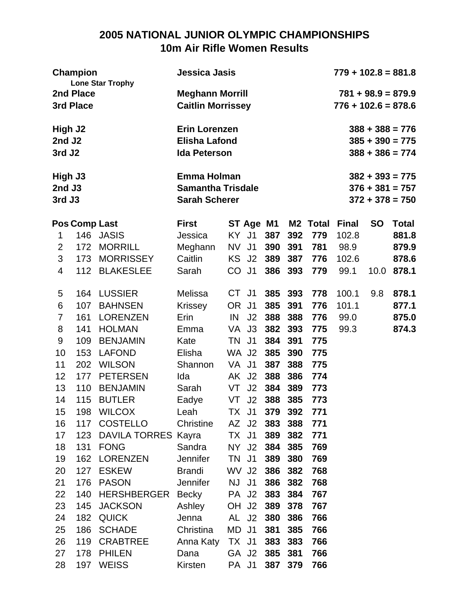# **2005 NATIONAL JUNIOR OLYMPIC CHAMPIONSHIPS 10m Air Rifle Women Results**

| <b>Champion</b><br><b>Lone Star Trophy</b> |                      |                                  | Jessica Jasis                                                          |           |                    |                |           |                     | $779 + 102.8 = 881.8$ |           |                                                             |
|--------------------------------------------|----------------------|----------------------------------|------------------------------------------------------------------------|-----------|--------------------|----------------|-----------|---------------------|-----------------------|-----------|-------------------------------------------------------------|
| 3rd Place                                  | 2nd Place            |                                  | <b>Meghann Morrill</b><br><b>Caitlin Morrissey</b>                     |           |                    |                |           |                     | $776 + 102.6 = 878.6$ |           | $781 + 98.9 = 879.9$                                        |
| High J2<br>2nd J2<br>3rd J <sub>2</sub>    |                      |                                  | <b>Erin Lorenzen</b><br><b>Elisha Lafond</b><br><b>Ida Peterson</b>    |           |                    |                |           |                     |                       |           | $388 + 388 = 776$<br>$385 + 390 = 775$<br>$388 + 386 = 774$ |
| High J3<br>2nd J3<br>3rd J3                |                      |                                  | <b>Emma Holman</b><br><b>Samantha Trisdale</b><br><b>Sarah Scherer</b> |           |                    |                |           |                     |                       |           | $382 + 393 = 775$<br>$376 + 381 = 757$<br>$372 + 378 = 750$ |
| 1                                          | <b>Pos Comp Last</b> | 146 JASIS                        | <b>First</b><br>Jessica                                                |           | ST Age M1<br>KY J1 | 387            | M2<br>392 | <b>Total</b><br>779 | <b>Final</b><br>102.8 | <b>SO</b> | <b>Total</b><br>881.8                                       |
| 2                                          | 172                  | <b>MORRILL</b>                   | Meghann                                                                | NV        | J <sub>1</sub>     | 390            | 391       | 781                 | 98.9                  |           | 879.9                                                       |
| 3                                          | 173                  | <b>MORRISSEY</b>                 | Caitlin                                                                | KS.       | J <sub>2</sub>     | 389            | 387       | 776                 | 102.6                 |           | 878.6                                                       |
| 4                                          | 112                  | <b>BLAKESLEE</b>                 | Sarah                                                                  | CO        | J <sub>1</sub>     | 386            | 393       | 779                 | 99.1                  | 10.0      | 878.1                                                       |
| 5                                          | 164                  | <b>LUSSIER</b>                   | Melissa                                                                | CT.       | J <sub>1</sub>     | 385            | 393       | 778                 | 100.1                 | 9.8       | 878.1                                                       |
| 6                                          | 107                  | <b>BAHNSEN</b>                   | <b>Krissey</b>                                                         | OR.       | J <sub>1</sub>     | 385            | 391       | 776                 | 101.1                 |           | 877.1                                                       |
| $\overline{7}$                             | 161                  | <b>LORENZEN</b>                  | Erin                                                                   | IN        | J2                 | 388            | 388       | 776                 | 99.0                  |           | 875.0                                                       |
| 8                                          | 141                  | <b>HOLMAN</b>                    | Emma                                                                   | VA        | J3                 | 382            | 393       | 775                 | 99.3                  |           | 874.3                                                       |
| 9                                          | 109                  | <b>BENJAMIN</b>                  | Kate                                                                   | TN        | J <sub>1</sub>     | 384            | 391       | 775                 |                       |           |                                                             |
| 10                                         | 153                  | <b>LAFOND</b>                    | Elisha                                                                 |           | WA J2              | 385            | 390       | 775                 |                       |           |                                                             |
| 11                                         | 202                  | <b>WILSON</b>                    | Shannon                                                                | VA        | J <sub>1</sub>     | 387            | 388       | 775                 |                       |           |                                                             |
| 12                                         | 177                  | <b>PETERSEN</b>                  | Ida                                                                    | AK        | J <sub>2</sub>     | 388            | 386       | 774                 |                       |           |                                                             |
| 13                                         | 110                  | <b>BENJAMIN</b>                  | Sarah                                                                  | VT        | J2                 | 384            | 389       | 773                 |                       |           |                                                             |
| 14                                         | 115                  | <b>BUTLER</b>                    | Eadye                                                                  | VT        | J <sub>2</sub>     | 388            | 385       | 773                 |                       |           |                                                             |
| 15<br>16                                   | 198<br>117           | <b>WILCOX</b><br><b>COSTELLO</b> | Leah                                                                   |           | TX J1<br>AZ J2     | 379 392<br>383 | 388       | 771<br>771          |                       |           |                                                             |
| 17                                         |                      | 123 DAVILA TORRES Kayra          | Christine                                                              |           | TX J1              | 389            | 382       | 771                 |                       |           |                                                             |
| 18                                         | 131                  | <b>FONG</b>                      | Sandra                                                                 |           | NY J2              | 384            | 385       | 769                 |                       |           |                                                             |
| 19                                         |                      | 162 LORENZEN                     | <b>Jennifer</b>                                                        | <b>TN</b> | J1                 | 389            | 380       | 769                 |                       |           |                                                             |
| 20                                         | 127                  | <b>ESKEW</b>                     | <b>Brandi</b>                                                          |           | WV J2              | 386            | 382       | 768                 |                       |           |                                                             |
| 21                                         | 176                  | <b>PASON</b>                     | <b>Jennifer</b>                                                        |           | NJ J1              | 386            | 382       | 768                 |                       |           |                                                             |
| 22                                         | 140                  | HERSHBERGER Becky                |                                                                        |           | PA J2              | 383            | 384       | 767                 |                       |           |                                                             |
| 23                                         |                      | 145 JACKSON                      | Ashley                                                                 |           | OH J2              | 389            | 378       | 767                 |                       |           |                                                             |
| 24                                         |                      | 182 QUICK                        | Jenna                                                                  |           | AL J2              | 380            | 386       | 766                 |                       |           |                                                             |
| 25                                         | 186                  | <b>SCHADE</b>                    | Christina                                                              |           | MD J1              | 381            | 385       | 766                 |                       |           |                                                             |
| 26                                         |                      | 119 CRABTREE                     | Anna Katy                                                              |           | TX J1              | 383            | 383       | 766                 |                       |           |                                                             |
| 27                                         | 178                  | <b>PHILEN</b>                    | Dana                                                                   |           | GA J2              | 385            | 381       | 766                 |                       |           |                                                             |
| 28                                         |                      | 197 WEISS                        | Kirsten                                                                |           | PA J1              | 387            | 379       | 766                 |                       |           |                                                             |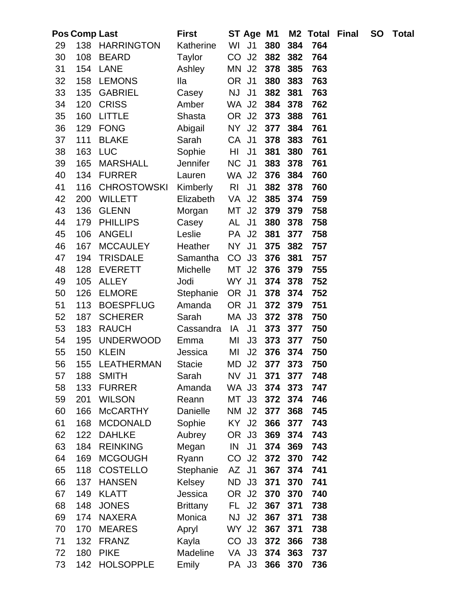|    | <b>Pos Comp Last</b> |                    | <b>First</b>    | ST Age M1                        |     |     | M <sub>2</sub> Total | Final | <b>SO</b> | <b>Total</b> |
|----|----------------------|--------------------|-----------------|----------------------------------|-----|-----|----------------------|-------|-----------|--------------|
| 29 |                      | 138 HARRINGTON     | Katherine       | WI<br>J <sub>1</sub>             | 380 | 384 | 764                  |       |           |              |
| 30 | 108                  | <b>BEARD</b>       | Taylor          | CO<br>J2                         | 382 | 382 | 764                  |       |           |              |
| 31 | 154                  | LANE               | Ashley          | MN<br>J <sub>2</sub>             | 378 | 385 | 763                  |       |           |              |
| 32 | 158                  | <b>LEMONS</b>      | <b>Ila</b>      | <b>OR</b><br>J <sub>1</sub>      | 380 | 383 | 763                  |       |           |              |
| 33 | 135                  | <b>GABRIEL</b>     | Casey           | J <sub>1</sub><br><b>NJ</b>      | 382 | 381 | 763                  |       |           |              |
| 34 | 120                  | <b>CRISS</b>       | Amber           | WA J2                            | 384 | 378 | 762                  |       |           |              |
| 35 | 160                  | <b>LITTLE</b>      | Shasta          | OR J2                            | 373 | 388 | 761                  |       |           |              |
| 36 | 129                  | <b>FONG</b>        | Abigail         | J2<br>NY I                       | 377 | 384 | 761                  |       |           |              |
| 37 | 111                  | <b>BLAKE</b>       | Sarah           | CA J1                            | 378 | 383 | 761                  |       |           |              |
| 38 | 163                  | <b>LUC</b>         | Sophie          | J <sub>1</sub><br>HI             | 381 | 380 | 761                  |       |           |              |
| 39 | 165                  | <b>MARSHALL</b>    | Jennifer        | NC<br>J <sub>1</sub>             | 383 | 378 | 761                  |       |           |              |
| 40 | 134                  | <b>FURRER</b>      | Lauren          | WA J2                            | 376 | 384 | 760                  |       |           |              |
| 41 | 116                  | <b>CHROSTOWSKI</b> | Kimberly        | R <sub>l</sub><br>J <sub>1</sub> | 382 | 378 | 760                  |       |           |              |
| 42 | 200                  | <b>WILLETT</b>     | Elizabeth       | VA<br>J <sub>2</sub>             | 385 | 374 | 759                  |       |           |              |
| 43 | 136                  | <b>GLENN</b>       | Morgan          | J2<br>MT                         | 379 | 379 | 758                  |       |           |              |
| 44 | 179                  | <b>PHILLIPS</b>    | Casey           | AL<br>J <sub>1</sub>             | 380 | 378 | 758                  |       |           |              |
| 45 | 106                  | <b>ANGELI</b>      | Leslie          | J <sub>2</sub><br><b>PA</b>      | 381 | 377 | 758                  |       |           |              |
| 46 | 167                  | <b>MCCAULEY</b>    | Heather         | J <sub>1</sub><br>NY .           | 375 | 382 | 757                  |       |           |              |
| 47 | 194                  | <b>TRISDALE</b>    | Samantha        | CO<br>J3                         | 376 | 381 | 757                  |       |           |              |
| 48 | 128                  | <b>EVERETT</b>     | Michelle        | J2<br>MT                         | 376 | 379 | 755                  |       |           |              |
| 49 | 105                  | <b>ALLEY</b>       | Jodi            | WY J1                            | 374 | 378 | 752                  |       |           |              |
| 50 | 126                  | <b>ELMORE</b>      | Stephanie       | OR J1                            | 378 | 374 | 752                  |       |           |              |
| 51 | 113                  | <b>BOESPFLUG</b>   | Amanda          | OR .<br>J <sub>1</sub>           | 372 | 379 | 751                  |       |           |              |
| 52 | 187                  | <b>SCHERER</b>     | Sarah           | MA<br>J3                         | 372 | 378 | 750                  |       |           |              |
| 53 | 183                  | <b>RAUCH</b>       | Cassandra       | J <sub>1</sub><br>IA             | 373 | 377 | 750                  |       |           |              |
| 54 | 195                  | <b>UNDERWOOD</b>   | Emma            | MI<br>J3                         | 373 | 377 | 750                  |       |           |              |
| 55 | 150                  | <b>KLEIN</b>       | Jessica         | J2<br>MI                         | 376 | 374 | 750                  |       |           |              |
| 56 | 155                  | LEATHERMAN         | <b>Stacie</b>   | MD<br>J2                         | 377 | 373 | 750                  |       |           |              |
| 57 | 188                  | <b>SMITH</b>       | Sarah           | NV I<br>J1                       | 371 | 377 | 748                  |       |           |              |
| 58 | 133                  | <b>FURRER</b>      | Amanda          | WA J3                            | 374 | 373 | 747                  |       |           |              |
| 59 | 201                  | <b>WILSON</b>      | Reann           | J3<br>MT                         | 372 | 374 | 746                  |       |           |              |
| 60 | 166                  | <b>McCARTHY</b>    | Danielle        | J2<br>NM                         | 377 | 368 | 745                  |       |           |              |
| 61 | 168                  | <b>MCDONALD</b>    | Sophie          | KY<br>J <sub>2</sub>             | 366 | 377 | 743                  |       |           |              |
| 62 | 122                  | <b>DAHLKE</b>      | Aubrey          | OR J3                            | 369 | 374 | 743                  |       |           |              |
| 63 | 184                  | <b>REINKING</b>    | Megan           | IN<br>J <sub>1</sub>             | 374 | 369 | 743                  |       |           |              |
| 64 | 169                  | <b>MCGOUGH</b>     | Ryann           | CO J <sub>2</sub>                | 372 | 370 | 742                  |       |           |              |
| 65 | 118                  | <b>COSTELLO</b>    | Stephanie       | J <sub>1</sub><br>AZ             | 367 | 374 | 741                  |       |           |              |
| 66 | 137                  | <b>HANSEN</b>      | Kelsey          | ND<br>J3                         | 371 | 370 | 741                  |       |           |              |
| 67 | 149                  | <b>KLATT</b>       | Jessica         | OR<br>J2                         | 370 | 370 | 740                  |       |           |              |
| 68 | 148                  | <b>JONES</b>       | <b>Brittany</b> | J <sub>2</sub><br>FL.            | 367 | 371 | 738                  |       |           |              |
| 69 | 174                  | <b>NAXERA</b>      | Monica          | <b>NJ</b><br>J <sub>2</sub>      | 367 | 371 | 738                  |       |           |              |
| 70 | 170                  | <b>MEARES</b>      | Apryl           | WY J2                            | 367 | 371 | 738                  |       |           |              |
| 71 | 132                  | <b>FRANZ</b>       | Kayla           | CO J3                            | 372 | 366 | 738                  |       |           |              |
| 72 | 180                  | <b>PIKE</b>        | Madeline        | VA J3                            | 374 | 363 | 737                  |       |           |              |
| 73 | 142                  | <b>HOLSOPPLE</b>   | Emily           | PA J3                            | 366 | 370 | 736                  |       |           |              |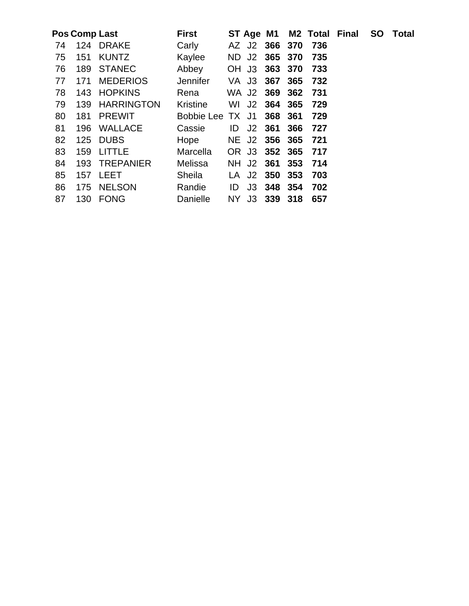|    |     | Pos Comp Last   | <b>First</b>     |      | ST Age M1 |               |     |     | M2 Total Final | <b>SO</b> Total |
|----|-----|-----------------|------------------|------|-----------|---------------|-----|-----|----------------|-----------------|
| 74 |     | 124 DRAKE       | Carly            |      |           | AZ J2 366 370 |     | 736 |                |                 |
| 75 | 151 | <b>KUNTZ</b>    | Kaylee           |      |           | ND J2 365 370 |     | 735 |                |                 |
| 76 | 189 | <b>STANEC</b>   | Abbey            |      |           | OH J3 363 370 |     | 733 |                |                 |
| 77 | 171 | <b>MEDERIOS</b> | <b>Jennifer</b>  |      |           | VA J3 367 365 |     | 732 |                |                 |
| 78 |     | 143 HOPKINS     | Rena             |      |           | WA J2 369 362 |     | 731 |                |                 |
| 79 |     | 139 HARRINGTON  | <b>Kristine</b>  | WI   | J2        | 364 365       |     | 729 |                |                 |
| 80 | 181 | <b>PREWIT</b>   | Bobbie Lee TX J1 |      |           | 368           | 361 | 729 |                |                 |
| 81 | 196 | WALLACE         | Cassie           | ID   | J2        | 361           | 366 | 727 |                |                 |
| 82 |     | 125 DUBS        | Hope             |      |           | NE J2 356 365 |     | 721 |                |                 |
| 83 | 159 | <b>LITTLE</b>   | Marcella         |      |           | OR J3 352 365 |     | 717 |                |                 |
| 84 |     | 193 TREPANIER   | Melissa          |      |           | NH J2 361     | 353 | 714 |                |                 |
| 85 |     | 157 LEET        | Sheila           |      |           | LA J2 350 353 |     | 703 |                |                 |
| 86 |     | 175 NELSON      | Randie           | ID   |           | J3 348 354    |     | 702 |                |                 |
| 87 | 130 | FONG            | Danielle         | NY I |           | J3 339 318    |     | 657 |                |                 |
|    |     |                 |                  |      |           |               |     |     |                |                 |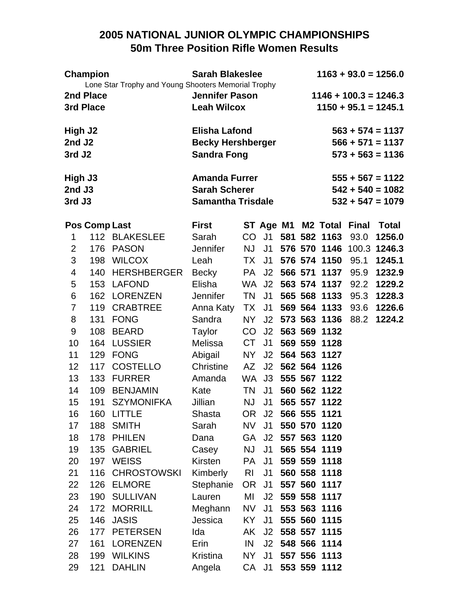# **2005 NATIONAL JUNIOR OLYMPIC CHAMPIONSHIPS 50m Three Position Rifle Women Results**

| <b>Champion</b><br>Lone Star Trophy and Young Shooters Memorial Trophy |                      |                    | <b>Sarah Blakeslee</b>   |                |                |  |  |                    | $1163 + 93.0 = 1256.0$ |                         |
|------------------------------------------------------------------------|----------------------|--------------------|--------------------------|----------------|----------------|--|--|--------------------|------------------------|-------------------------|
|                                                                        | 2nd Place            |                    | <b>Jennifer Pason</b>    |                |                |  |  |                    |                        | $1146 + 100.3 = 1246.3$ |
|                                                                        | 3rd Place            |                    | <b>Leah Wilcox</b>       |                |                |  |  |                    |                        | $1150 + 95.1 = 1245.1$  |
| High J2                                                                |                      |                    | <b>Elisha Lafond</b>     |                |                |  |  |                    |                        | $563 + 574 = 1137$      |
| 2nd J2                                                                 |                      |                    | <b>Becky Hershberger</b> |                |                |  |  |                    |                        | $566 + 571 = 1137$      |
| 3rd J <sub>2</sub>                                                     |                      |                    | <b>Sandra Fong</b>       |                |                |  |  |                    |                        | $573 + 563 = 1136$      |
| High J3                                                                |                      |                    | <b>Amanda Furrer</b>     |                |                |  |  |                    |                        | $555 + 567 = 1122$      |
| 2nd J3                                                                 |                      |                    | <b>Sarah Scherer</b>     |                |                |  |  |                    |                        | $542 + 540 = 1082$      |
| 3rd J3                                                                 |                      |                    | <b>Samantha Trisdale</b> |                |                |  |  |                    |                        | $532 + 547 = 1079$      |
|                                                                        | <b>Pos Comp Last</b> |                    | <b>First</b>             |                |                |  |  | ST Age M1 M2 Total | <b>Final</b>           | <b>Total</b>            |
| 1                                                                      |                      | 112 BLAKESLEE      | Sarah                    | CO             |                |  |  | J1 581 582 1163    | 93.0                   | 1256.0                  |
| 2                                                                      | 176                  | <b>PASON</b>       | <b>Jennifer</b>          | <b>NJ</b>      | J <sub>1</sub> |  |  | 576 570 1146       |                        | 100.3 1246.3            |
| 3                                                                      | 198                  | <b>WILCOX</b>      | Leah                     | TX             | J <sub>1</sub> |  |  | 576 574 1150       | 95.1                   | 1245.1                  |
| 4                                                                      | 140                  | <b>HERSHBERGER</b> | Becky                    | PA -           | J <sub>2</sub> |  |  | 566 571 1137       | 95.9                   | 1232.9                  |
| 5                                                                      | 153                  | <b>LAFOND</b>      | Elisha                   | WA.            | J <sub>2</sub> |  |  | 563 574 1137       | 92.2                   | 1229.2                  |
| 6                                                                      | 162                  | <b>LORENZEN</b>    | <b>Jennifer</b>          | <b>TN</b>      | J1             |  |  | 565 568 1133       | 95.3                   | 1228.3                  |
| 7                                                                      | 119                  | <b>CRABTREE</b>    | Anna Katy                | TX             | J <sub>1</sub> |  |  | 569 564 1133       | 93.6                   | 1226.6                  |
| 8                                                                      | 131                  | <b>FONG</b>        | Sandra                   | NY             | J2             |  |  | 573 563 1136       | 88.2                   | 1224.2                  |
| 9                                                                      | 108                  | <b>BEARD</b>       | Taylor                   | CO             | J <sub>2</sub> |  |  | 563 569 1132       |                        |                         |
| 10                                                                     | 164                  | <b>LUSSIER</b>     | Melissa                  | CT             | J <sub>1</sub> |  |  | 569 559 1128       |                        |                         |
| 11                                                                     | 129                  | <b>FONG</b>        | Abigail                  | <b>NY</b>      | J2             |  |  | 564 563 1127       |                        |                         |
| 12                                                                     | 117                  | <b>COSTELLO</b>    | Christine                | AZ             | J <sub>2</sub> |  |  | 562 564 1126       |                        |                         |
| 13                                                                     | 133                  | <b>FURRER</b>      | Amanda                   | WA.            | J3             |  |  | 555 567 1122       |                        |                         |
| 14                                                                     | 109                  | <b>BENJAMIN</b>    | Kate                     | TN             | J <sub>1</sub> |  |  | 560 562 1122       |                        |                         |
| 15                                                                     | 191                  | <b>SZYMONIFKA</b>  | Jillian                  | <b>NJ</b>      | J1             |  |  | 565 557 1122       |                        |                         |
| 16                                                                     | 160                  | LITTLE             | Shasta                   |                |                |  |  | OR J2 566 555 1121 |                        |                         |
| 17                                                                     | 188                  | SMITH              | Sarah                    | NV             | J <sub>1</sub> |  |  | 550 570 1120       |                        |                         |
| 18                                                                     | 178                  | <b>PHILEN</b>      | Dana                     |                | GA J2          |  |  | 557 563 1120       |                        |                         |
| 19                                                                     | 135                  | <b>GABRIEL</b>     | Casey                    | <b>NJ</b>      | J <sub>1</sub> |  |  | 565 554 1119       |                        |                         |
| 20                                                                     | 197                  | <b>WEISS</b>       | Kirsten                  | <b>PA</b>      | J <sub>1</sub> |  |  | 559 559 1118       |                        |                         |
| 21                                                                     | 116                  | <b>CHROSTOWSKI</b> | Kimberly                 | R <sub>l</sub> | J <sub>1</sub> |  |  | 560 558 1118       |                        |                         |
| 22                                                                     | 126                  | <b>ELMORE</b>      | Stephanie                | OR             | J <sub>1</sub> |  |  | 557 560 1117       |                        |                         |
| 23                                                                     | 190                  | <b>SULLIVAN</b>    | Lauren                   | MI             | J <sub>2</sub> |  |  | 559 558 1117       |                        |                         |
| 24                                                                     | 172                  | <b>MORRILL</b>     | Meghann                  | NV I           | J <sub>1</sub> |  |  | 553 563 1116       |                        |                         |
| 25                                                                     | 146                  | <b>JASIS</b>       | Jessica                  | KY I           | J <sub>1</sub> |  |  | 555 560 1115       |                        |                         |
| 26                                                                     | 177                  | <b>PETERSEN</b>    | Ida                      | AK             | J2             |  |  | 558 557 1115       |                        |                         |
| 27                                                                     | 161                  | LORENZEN           | Erin                     | IN             | J2             |  |  | 548 566 1114       |                        |                         |
| 28                                                                     | 199                  | <b>WILKINS</b>     | Kristina                 | NY I           | J <sub>1</sub> |  |  | 557 556 1113       |                        |                         |
| 29                                                                     | 121                  | <b>DAHLIN</b>      | Angela                   |                | CA J1          |  |  | 553 559 1112       |                        |                         |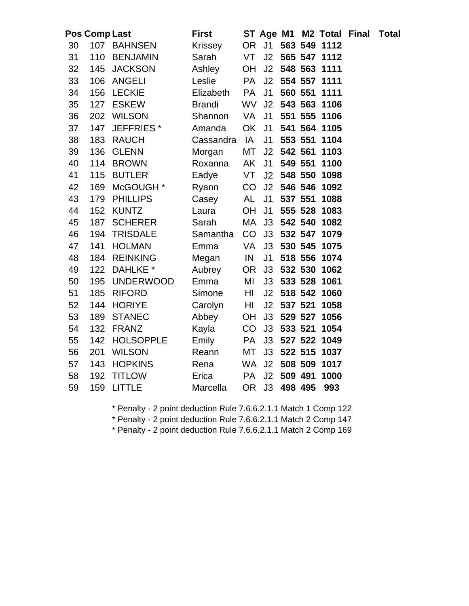|    | <b>Pos Comp Last</b> |                       | <b>First</b>   |           |                |         |         | ST Age M1 M2 Total Final | <b>Total</b> |
|----|----------------------|-----------------------|----------------|-----------|----------------|---------|---------|--------------------------|--------------|
| 30 | 107                  | <b>BAHNSEN</b>        | <b>Krissey</b> | <b>OR</b> | J <sub>1</sub> |         |         | 563 549 1112             |              |
| 31 | 110                  | <b>BENJAMIN</b>       | Sarah          | VT        | J2             |         |         | 565 547 1112             |              |
| 32 | 145                  | <b>JACKSON</b>        | Ashley         | <b>OH</b> | J2             |         |         | 548 563 1111             |              |
| 33 | 106                  | <b>ANGELI</b>         | Leslie         | PA        | J2             |         |         | 554 557 1111             |              |
| 34 | 156                  | <b>LECKIE</b>         | Elizabeth      | PA        | J <sub>1</sub> |         | 560 551 | 1111                     |              |
| 35 | 127                  | <b>ESKEW</b>          | <b>Brandi</b>  | <b>WV</b> | J2             |         |         | 543 563 1106             |              |
| 36 | 202                  | <b>WILSON</b>         | Shannon        | VA        | J <sub>1</sub> |         | 551 555 | 1106                     |              |
| 37 | 147                  | JEFFRIES <sup>*</sup> | Amanda         | <b>OK</b> | J <sub>1</sub> |         | 541 564 | 1105                     |              |
| 38 | 183                  | <b>RAUCH</b>          | Cassandra      | IA        | J <sub>1</sub> |         | 553 551 | 1104                     |              |
| 39 | 136                  | <b>GLENN</b>          | Morgan         | MT        | J2             | 542 561 |         | 1103                     |              |
| 40 | 114                  | <b>BROWN</b>          | Roxanna        | AK        | J <sub>1</sub> |         | 549 551 | 1100                     |              |
| 41 | 115                  | <b>BUTLER</b>         | Eadye          | VT        | J2             |         | 548 550 | 1098                     |              |
| 42 | 169                  | McGOUGH *             | Ryann          | CO        | J2             |         |         | 546 546 1092             |              |
| 43 | 179                  | <b>PHILLIPS</b>       | Casey          | AL        | J <sub>1</sub> |         | 537 551 | 1088                     |              |
| 44 | 152                  | <b>KUNTZ</b>          | Laura          | OH        | J <sub>1</sub> |         |         | 555 528 1083             |              |
| 45 | 187                  | <b>SCHERER</b>        | Sarah          | MA        | J3             |         | 542 540 | 1082                     |              |
| 46 | 194                  | <b>TRISDALE</b>       | Samantha       | CO        | J3             |         | 532 547 | 1079                     |              |
| 47 | 141                  | <b>HOLMAN</b>         | Emma           | VA        | J3             |         |         | 530 545 1075             |              |
| 48 | 184                  | <b>REINKING</b>       | Megan          | IN        | J <sub>1</sub> |         |         | 518 556 1074             |              |
| 49 | 122                  | DAHLKE <sup>*</sup>   | Aubrey         | <b>OR</b> | J3             |         |         | 532 530 1062             |              |
| 50 | 195                  | <b>UNDERWOOD</b>      | Emma           | MI        | J3             |         |         | 533 528 1061             |              |
| 51 | 185                  | <b>RIFORD</b>         | Simone         | HI        | J2             |         | 518 542 | 1060                     |              |
| 52 | 144                  | <b>HORIYE</b>         | Carolyn        | HI        | J2             | 537 521 |         | 1058                     |              |
| 53 | 189                  | <b>STANEC</b>         | Abbey          | <b>OH</b> | J3             |         | 529 527 | 1056                     |              |
| 54 | 132                  | <b>FRANZ</b>          | Kayla          | CO        | J3             | 533 521 |         | 1054                     |              |
| 55 | 142                  | <b>HOLSOPPLE</b>      | Emily          | PA        | J3             |         |         | 527 522 1049             |              |
| 56 | 201                  | <b>WILSON</b>         | Reann          | MT        | J3             |         | 522 515 | 1037                     |              |
| 57 | 143                  | <b>HOPKINS</b>        | Rena           | <b>WA</b> | J <sub>2</sub> |         | 508 509 | 1017                     |              |
| 58 | 192                  | <b>TITLOW</b>         | Erica          | <b>PA</b> | J2             | 509 491 |         | 1000                     |              |
| 59 | 159                  | <b>LITTLE</b>         | Marcella       | <b>OR</b> | J3             | 498 495 |         | 993                      |              |

\* Penalty - 2 point deduction Rule 7.6.6.2.1.1 Match 1 Comp 122

\* Penalty - 2 point deduction Rule 7.6.6.2.1.1 Match 2 Comp 147

\* Penalty - 2 point deduction Rule 7.6.6.2.1.1 Match 2 Comp 169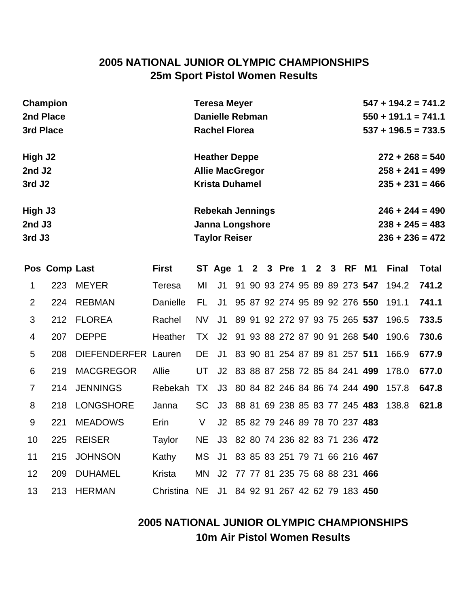# **2005 NATIONAL JUNIOR OLYMPIC CHAMPIONSHIPS 25m Sport Pistol Women Results**

| Champion            | <b>Teresa Meyer</b>     | $547 + 194.2 = 741.2$ |
|---------------------|-------------------------|-----------------------|
| 2nd Place           | <b>Danielle Rebman</b>  | $550 + 191.1 = 741.1$ |
| 3rd Place           | <b>Rachel Florea</b>    | $537 + 196.5 = 733.5$ |
| High J <sub>2</sub> | <b>Heather Deppe</b>    | $272 + 268 = 540$     |
| 2nd J2              | <b>Allie MacGregor</b>  | $258 + 241 = 499$     |
| 3rd J <sub>2</sub>  | <b>Krista Duhamel</b>   | $235 + 231 = 466$     |
| High J3             | <b>Rebekah Jennings</b> | $246 + 244 = 490$     |
| $2nd$ J3            | <b>Janna Longshore</b>  | $238 + 245 = 483$     |
| 3rd J3              | <b>Taylor Reiser</b>    | $236 + 236 = 472$     |

|                 | Pos Comp Last |                     | First                                             |      | ST Age 1 2 3 Pre 1 2 3 RF M1        |  |  |  |                                  | <b>Final</b>                              | Total |
|-----------------|---------------|---------------------|---------------------------------------------------|------|-------------------------------------|--|--|--|----------------------------------|-------------------------------------------|-------|
| 1               |               | 223 MEYER           | Teresa                                            | МI   |                                     |  |  |  |                                  | J1 91 90 93 274 95 89 89 273 547 194.2    | 741.2 |
| $\overline{2}$  | 224           | REBMAN              | Danielle                                          | FL.  | J1                                  |  |  |  |                                  | 95 87 92 274 95 89 92 276 550 191.1       | 741.1 |
| 3               |               | 212 FLOREA          | Rachel                                            | NV.  |                                     |  |  |  |                                  | J1 89 91 92 272 97 93 75 265 537 196.5    | 733.5 |
| $\overline{4}$  | 207           | <b>DEPPE</b>        | Heather                                           |      |                                     |  |  |  |                                  | TX J2 91 93 88 272 87 90 91 268 540 190.6 | 730.6 |
| 5               | 208           | DIEFENDERFER Lauren |                                                   |      |                                     |  |  |  |                                  | DE J1 83 90 81 254 87 89 81 257 511 166.9 | 677.9 |
| 6               | 219           | MACGREGOR           | <b>Allie</b>                                      | UT   |                                     |  |  |  |                                  | J2 83 88 87 258 72 85 84 241 499 178.0    | 677.0 |
| $\overline{7}$  |               | 214 JENNINGS        | Rebekah TX J3 80 84 82 246 84 86 74 244 490 157.8 |      |                                     |  |  |  |                                  |                                           | 647.8 |
| 8               | 218           | LONGSHORE           | Janna                                             |      |                                     |  |  |  |                                  | SC J3 88 81 69 238 85 83 77 245 483 138.8 | 621.8 |
| 9               | 221           | <b>MEADOWS</b>      | Erin                                              | V    |                                     |  |  |  | J2 85 82 79 246 89 78 70 237 483 |                                           |       |
| 10 <sup>°</sup> | 225           | <b>REISER</b>       | Taylor                                            | NE . |                                     |  |  |  | J3 82 80 74 236 82 83 71 236 472 |                                           |       |
| 11              |               | 215 JOHNSON         | Kathy                                             |      | MS J1 83 85 83 251 79 71 66 216 467 |  |  |  |                                  |                                           |       |
| 12 <sup>2</sup> | 209           | DUHAMEL             | Krista                                            | MN - |                                     |  |  |  | J2 77 77 81 235 75 68 88 231 466 |                                           |       |
| 13              |               | 213 HERMAN          | Christina NE                                      |      | J1                                  |  |  |  | 84 92 91 267 42 62 79 183 450    |                                           |       |

# **2005 NATIONAL JUNIOR OLYMPIC CHAMPIONSHIPS 10m Air Pistol Women Results**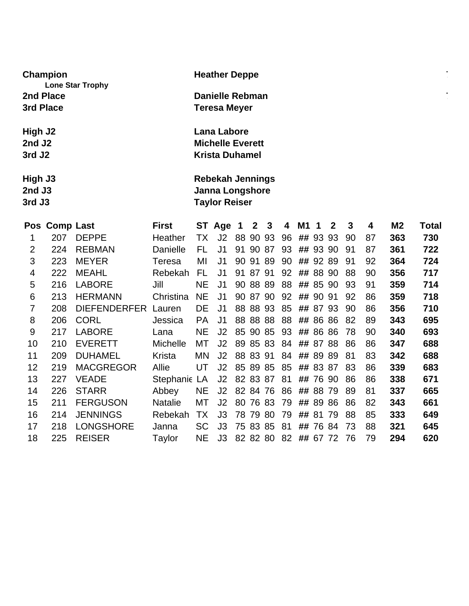| Champion<br><b>Lone Star Trophy</b> | <b>Heather Deppe</b>    | $\blacksquare$<br>$\sim$ |
|-------------------------------------|-------------------------|--------------------------|
| 2nd Place                           | <b>Danielle Rebman</b>  | $\sim$<br>$\sim$         |
| 3rd Place                           | <b>Teresa Meyer</b>     |                          |
| High J2                             | <b>Lana Labore</b>      |                          |
| 2nd J <sub>2</sub>                  | <b>Michelle Everett</b> |                          |
| 3rd J <sub>2</sub>                  | <b>Krista Duhamel</b>   |                          |
| High J3                             | <b>Rebekah Jennings</b> |                          |
| $2nd$ J3                            | <b>Janna Longshore</b>  |                          |
| 3rd J3                              | <b>Taylor Reiser</b>    |                          |

|                | Pos Comp Last |                     | <b>First</b>    |           | ST Age         | 1  | $\mathbf{2}$ | 3  | 4  | M <sub>1</sub> | 1     | $\mathbf{2}$ | 3  | 4  | M2  | Total |
|----------------|---------------|---------------------|-----------------|-----------|----------------|----|--------------|----|----|----------------|-------|--------------|----|----|-----|-------|
| 1              | 207           | <b>DEPPE</b>        | Heather         | ТX        | J2             | 88 | 90 93        |    | 96 |                | ## 93 | 93           | 90 | 87 | 363 | 730   |
| $\overline{2}$ | 224           | <b>REBMAN</b>       | Danielle        | FL        | J1             | 91 | 90           | 87 | 93 |                | ## 93 | 90           | 91 | 87 | 361 | 722   |
| 3              | 223           | <b>MEYER</b>        | Teresa          | MI        | J1             | 90 | 91           | 89 | 90 |                | ## 92 | 89           | 91 | 92 | 364 | 724   |
| 4              | 222           | <b>MEAHL</b>        | Rebekah         | FL        | J <sub>1</sub> | 91 | 87           | 91 | 92 | ##             | 88    | -90          | 88 | 90 | 356 | 717   |
| 5              | 216           | <b>LABORE</b>       | Jill            | <b>NE</b> | J1             |    | 90 88 89     |    | 88 | ##             | 85    | 90           | 93 | 91 | 359 | 714   |
| 6              | 213           | <b>HERMANN</b>      | Christina       | <b>NE</b> | J1             |    | 90 87        | 90 | 92 | ##             | 90    | -91          | 92 | 86 | 359 | 718   |
| 7              | 208           | <b>DIEFENDERFER</b> | Lauren          | DE        | J1.            |    | 88 88 93     |    | 85 | ##             | 87    | 93           | 90 | 86 | 356 | 710   |
| 8              | 206           | <b>CORL</b>         | Jessica         | <b>PA</b> | J <sub>1</sub> |    | 88 88 88     |    | 88 | ##             |       | 86 86        | 82 | 89 | 343 | 695   |
| 9              | 217           | <b>LABORE</b>       | Lana            | <b>NE</b> | J2             |    | 85 90 85     |    | 93 | ##             | 86    | 86           | 78 | 90 | 340 | 693   |
| 10             | 210           | <b>EVERETT</b>      | <b>Michelle</b> | МT        | J2             |    | 89 85 83     |    | 84 | ##             | 87    | 88           | 86 | 86 | 347 | 688   |
| 11             | 209           | <b>DUHAMEL</b>      | Krista          | ΜN        | J2             |    | 88 83 91     |    | 84 | ##             | 89    | 89           | 81 | 83 | 342 | 688   |
| 12             | 219           | <b>MACGREGOR</b>    | Allie           | UT        | J2             |    | 85 89 85     |    | 85 | ##             | 83    | 87           | 83 | 86 | 339 | 683   |
| 13             | 227           | <b>VEADE</b>        | Stephanie LA    |           | J2             |    | 82 83 87     |    | 81 | ##             | 76    | 90           | 86 | 86 | 338 | 671   |
| 14             | 226           | <b>STARR</b>        | Abbey           | <b>NE</b> | J <sub>2</sub> |    | 82 84 76     |    | 86 | ##             |       | 88 79        | 89 | 81 | 337 | 665   |
| 15             | 211           | <b>FERGUSON</b>     | <b>Natalie</b>  | МT        | J <sub>2</sub> |    | 80 76 83     |    | 79 | ##             | 89    | 86           | 86 | 82 | 343 | 661   |
| 16             | 214           | <b>JENNINGS</b>     | Rebekah         | ТX        | J3             |    | 78 79 80     |    | 79 | ##             | 81    | -79          | 88 | 85 | 333 | 649   |
| 17             | 218           | <b>LONGSHORE</b>    | Janna           | <b>SC</b> | J3             |    | 75 83 85     |    | 81 | ##             |       | 7684         | 73 | 88 | 321 | 645   |
| 18             | 225           | <b>REISER</b>       | Taylor          | <b>NE</b> | J3             |    | 82 82 80     |    | 82 |                |       | ## 67 72     | 76 | 79 | 294 | 620   |
|                |               |                     |                 |           |                |    |              |    |    |                |       |              |    |    |     |       |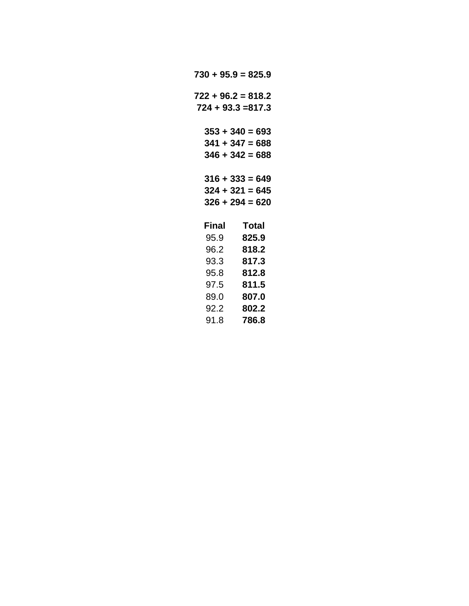| $730 + 95.9 = 825.9$  |                                                             |
|-----------------------|-------------------------------------------------------------|
| $722 + 96.2 = 818.2$  | $724 + 93.3 = 817.3$                                        |
|                       | $353 + 340 = 693$<br>$341 + 347 = 688$<br>$346 + 342 = 688$ |
|                       | $316 + 333 = 649$<br>$324 + 321 = 645$<br>$326 + 294 = 620$ |
| Final<br>95.9<br>96.2 | Total<br>825.9<br>818.2<br>93.3 817.3                       |
| 97.5                  | 95.8 812.8<br>811.5<br>89.0 807.0                           |
| 92.2<br>91.8          | 802.2<br>786.8                                              |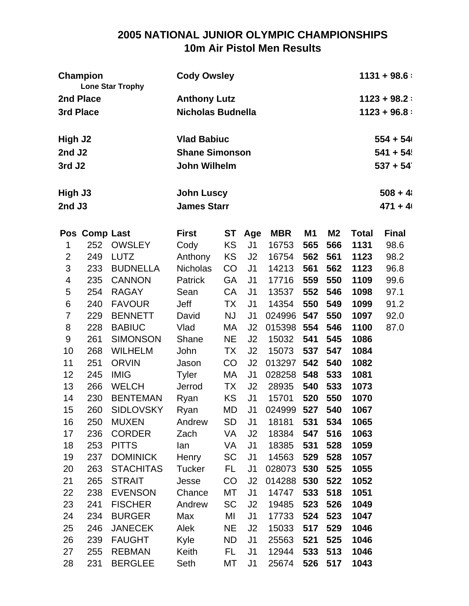# **2005 NATIONAL JUNIOR OLYMPIC CHAMPIONSHIPS 10m Air Pistol Men Results**

|                    | <b>Champion</b> | <b>Lone Star Trophy</b> | <b>Cody Owsley</b>       |           | $1131 + 98.6$  |               |                |           |              |               |
|--------------------|-----------------|-------------------------|--------------------------|-----------|----------------|---------------|----------------|-----------|--------------|---------------|
|                    | 2nd Place       |                         | <b>Anthony Lutz</b>      |           |                | $1123 + 98.2$ |                |           |              |               |
| 3rd Place          |                 |                         | <b>Nicholas Budnella</b> |           |                |               |                |           |              | $1123 + 96.8$ |
|                    |                 |                         |                          |           |                |               |                |           |              |               |
| High J2            |                 |                         | <b>Vlad Babiuc</b>       |           |                |               |                |           |              | $554 + 54$    |
| 2nd J2             |                 |                         | <b>Shane Simonson</b>    |           |                |               |                |           |              | $541 + 54$    |
| 3rd J <sub>2</sub> |                 |                         | <b>John Wilhelm</b>      |           |                |               |                |           |              | $537 + 54$    |
| High J3            |                 |                         | <b>John Luscy</b>        |           |                |               |                |           |              | $508 + 41$    |
| 2nd J3             |                 |                         | <b>James Starr</b>       |           |                |               |                |           |              | $471 + 41$    |
|                    | Pos Comp Last   |                         | <b>First</b>             | <b>ST</b> | Age            | <b>MBR</b>    | M <sub>1</sub> | <b>M2</b> | <b>Total</b> | <b>Final</b>  |
| 1                  | 252             | <b>OWSLEY</b>           | Cody                     | KS        | J <sub>1</sub> | 16753         | 565            | 566       | 1131         | 98.6          |
| $\overline{2}$     | 249             | <b>LUTZ</b>             | Anthony                  | KS        | J <sub>2</sub> | 16754         | 562            | 561       | 1123         | 98.2          |
| 3                  | 233             | <b>BUDNELLA</b>         | <b>Nicholas</b>          | CO        | J <sub>1</sub> | 14213         | 561            | 562       | 1123         | 96.8          |
| 4                  | 235             | <b>CANNON</b>           | Patrick                  | GA        | J <sub>1</sub> | 17716         | 559            | 550       | 1109         | 99.6          |
| 5                  | 254             | <b>RAGAY</b>            | Sean                     | <b>CA</b> | J <sub>1</sub> | 13537         | 552            | 546       | 1098         | 97.1          |
| 6                  | 240             | <b>FAVOUR</b>           | Jeff                     | TX        | J <sub>1</sub> | 14354         | 550            | 549       | 1099         | 91.2          |
| $\overline{7}$     | 229             | <b>BENNETT</b>          | David                    | <b>NJ</b> | J <sub>1</sub> | 024996        | 547            | 550       | 1097         | 92.0          |
| 8                  | 228             | <b>BABIUC</b>           | Vlad                     | МA        | J <sub>2</sub> | 015398        | 554            | 546       | 1100         | 87.0          |
| 9                  | 261             | <b>SIMONSON</b>         | Shane                    | <b>NE</b> | J <sub>2</sub> | 15032         | 541            | 545       | 1086         |               |
| 10                 | 268             | <b>WILHELM</b>          | John                     | TX        | J <sub>2</sub> | 15073         | 537            | 547       | 1084         |               |
| 11                 | 251             | <b>ORVIN</b>            | Jason                    | CO        | J2             | 013297        | 542            | 540       | 1082         |               |
| 12                 | 245             | <b>IMIG</b>             | <b>Tyler</b>             | МA        | J <sub>1</sub> | 028258        | 548            | 533       | 1081         |               |
| 13                 | 266             | <b>WELCH</b>            | Jerrod                   | ТX        | J <sub>2</sub> | 28935         | 540            | 533       | 1073         |               |
| 14                 | 230             | <b>BENTEMAN</b>         | Ryan                     | <b>KS</b> | J <sub>1</sub> | 15701         | 520            | 550       | 1070         |               |
| 15                 | 260             | <b>SIDLOVSKY</b>        | Ryan                     | MD        | J1             | 024999        | 527            | 540       | 1067         |               |
| 16                 | 250             | <b>MUXEN</b>            | Andrew                   | SD        | J <sub>1</sub> | 18181         | 531            | 534       | 1065         |               |
| 17                 | 236             | <b>CORDER</b>           | Zach                     | VA        | J2             | 18384         | 547            | 516       | 1063         |               |
| 18                 | 253             | <b>PITTS</b>            | lan                      | VA        | J1             | 18385         | 531            | 528       | 1059         |               |
| 19                 | 237             | <b>DOMINICK</b>         | Henry                    | SC        | J <sub>1</sub> | 14563         | 529            | 528       | 1057         |               |
| 20                 | 263             | <b>STACHITAS</b>        | Tucker                   | FL.       | J <sub>1</sub> | 028073        | 530            | 525       | 1055         |               |
| 21                 | 265             | <b>STRAIT</b>           | Jesse                    | CO        | J <sub>2</sub> | 014288 530    |                | 522       | 1052         |               |
| 22                 | 238             | <b>EVENSON</b>          | Chance                   | МT        | J <sub>1</sub> | 14747         | 533            | 518       | 1051         |               |
| 23                 | 241             | <b>FISCHER</b>          | Andrew                   | <b>SC</b> | J <sub>2</sub> | 19485         | 523            | 526       | 1049         |               |
| 24                 | 234             | <b>BURGER</b>           | Max                      | MI        | J <sub>1</sub> | 17733         | 524            | 523       | 1047         |               |
| 25                 | 246             | <b>JANECEK</b>          | Alek                     | <b>NE</b> | J2             | 15033         | 517            | 529       | 1046         |               |
| 26                 | 239             | <b>FAUGHT</b>           | Kyle                     | ND        | J <sub>1</sub> | 25563         | 521            | 525       | 1046         |               |
| 27                 | 255             | <b>REBMAN</b>           | Keith                    | FL.       | J <sub>1</sub> | 12944         | 533            | 513       | 1046         |               |
| 28                 | 231             | <b>BERGLEE</b>          | Seth                     | МT        | J1             | 25674         |                | 526 517   | 1043         |               |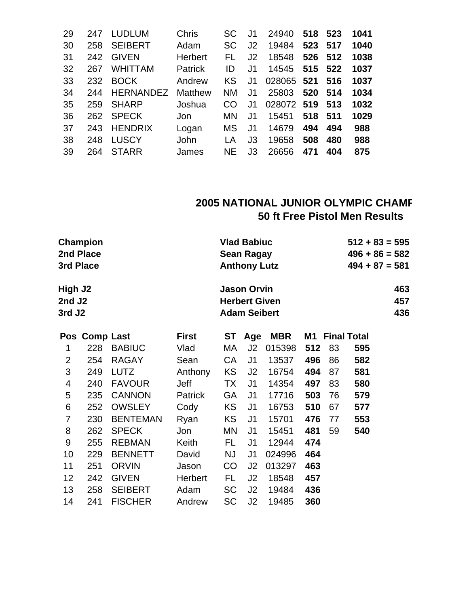| 29 | 247 | <b>LUDLUM</b>    | <b>Chris</b>   | <b>SC</b> | J1             | 24940      | 518 | 523 | 1041 |
|----|-----|------------------|----------------|-----------|----------------|------------|-----|-----|------|
| 30 | 258 | <b>SEIBERT</b>   | Adam           | <b>SC</b> | J2             | 19484      | 523 | 517 | 1040 |
| 31 | 242 | <b>GIVEN</b>     | <b>Herbert</b> | FL        | J2             | 18548      | 526 | 512 | 1038 |
| 32 | 267 | <b>WHITTAM</b>   | <b>Patrick</b> | ID        | J1             | 14545      | 515 | 522 | 1037 |
| 33 | 232 | <b>BOCK</b>      | Andrew         | KS        | J1             | 028065 521 |     | 516 | 1037 |
| 34 | 244 | <b>HERNANDEZ</b> | <b>Matthew</b> | <b>NM</b> | J1             | 25803      | 520 | 514 | 1034 |
| 35 | 259 | <b>SHARP</b>     | Joshua         | CO        | J1             | 028072 519 |     | 513 | 1032 |
| 36 |     | 262 SPECK        | Jon            | <b>MN</b> | J1             | 15451      | 518 | 511 | 1029 |
| 37 | 243 | <b>HENDRIX</b>   | Logan          | <b>MS</b> | J <sub>1</sub> | 14679      | 494 | 494 | 988  |
| 38 | 248 | <b>LUSCY</b>     | John           | ΙA        | J3             | 19658      | 508 | 480 | 988  |
| 39 | 264 | <b>STARR</b>     | James          | NE        | J3             | 26656      | 471 | 404 | 875  |
|    |     |                  |                |           |                |            |     |     |      |

#### **2005 NATIONAL JUNIOR OLYMPIC CHAMP 50 ft Free Pistol Men Results**

| Champion           | <b>Vlad Babiuc</b>   | $512 + 83 = 595$ |
|--------------------|----------------------|------------------|
| 2nd Place          | Sean Ragay           | $496 + 86 = 582$ |
| 3rd Place          | <b>Anthony Lutz</b>  | $494 + 87 = 581$ |
| High J2            | <b>Jason Orvin</b>   | 463              |
| 2nd J <sub>2</sub> | <b>Herbert Given</b> | 457              |
| 3rd J <sub>2</sub> | <b>Adam Seibert</b>  | 436              |

|                | Pos Comp Last |                 | <b>First</b>   | ST        | Age            | <b>MBR</b> |     | M1 Final Total |     |
|----------------|---------------|-----------------|----------------|-----------|----------------|------------|-----|----------------|-----|
| 1              | 228           | <b>BABIUC</b>   | Vlad           | МA        | J2             | 015398     | 512 | 83             | 595 |
| $\overline{2}$ | 254           | <b>RAGAY</b>    | Sean           | CA        | J <sub>1</sub> | 13537      | 496 | 86             | 582 |
| 3              | 249           | <b>LUTZ</b>     | Anthony        | <b>KS</b> | J2             | 16754      | 494 | 87             | 581 |
| 4              | 240           | <b>FAVOUR</b>   | Jeff           | <b>TX</b> | J <sub>1</sub> | 14354      | 497 | 83             | 580 |
| 5              | 235           | <b>CANNON</b>   | <b>Patrick</b> | GA        | J <sub>1</sub> | 17716      | 503 | 76             | 579 |
| 6              | 252           | <b>OWSLEY</b>   | Cody           | KS        | J <sub>1</sub> | 16753      | 510 | 67             | 577 |
| 7              | 230           | <b>BENTEMAN</b> | Ryan           | <b>KS</b> | J <sub>1</sub> | 15701      | 476 | 77             | 553 |
| 8              | 262           | <b>SPECK</b>    | Jon            | MN        | J <sub>1</sub> | 15451      | 481 | 59             | 540 |
| 9              | 255           | <b>REBMAN</b>   | Keith          | FL.       | J <sub>1</sub> | 12944      | 474 |                |     |
| 10             | 229           | <b>BENNETT</b>  | David          | <b>NJ</b> | J <sub>1</sub> | 024996     | 464 |                |     |
| 11             | 251           | <b>ORVIN</b>    | Jason          | CO        | J <sub>2</sub> | 013297     | 463 |                |     |
| 12             | 242           | <b>GIVEN</b>    | <b>Herbert</b> | FL        | J <sub>2</sub> | 18548      | 457 |                |     |
| 13             | 258           | <b>SEIBERT</b>  | Adam           | <b>SC</b> | J <sub>2</sub> | 19484      | 436 |                |     |
| 14             | 241           | <b>FISCHER</b>  | Andrew         | SC        | J <sub>2</sub> | 19485      | 360 |                |     |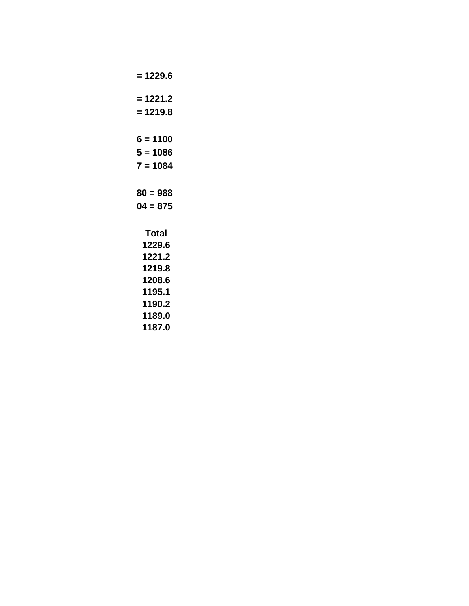```
= 1229.6
= 1221.2
= 1219.8
6 = 1100
5 = 1086
7 = 1084
80 = 988
04 = 875
 Total
 1229.6
 1221.2
 1219.8
 1208.6
 1195.1
 1190.2
 1189.0
 1187.0
```